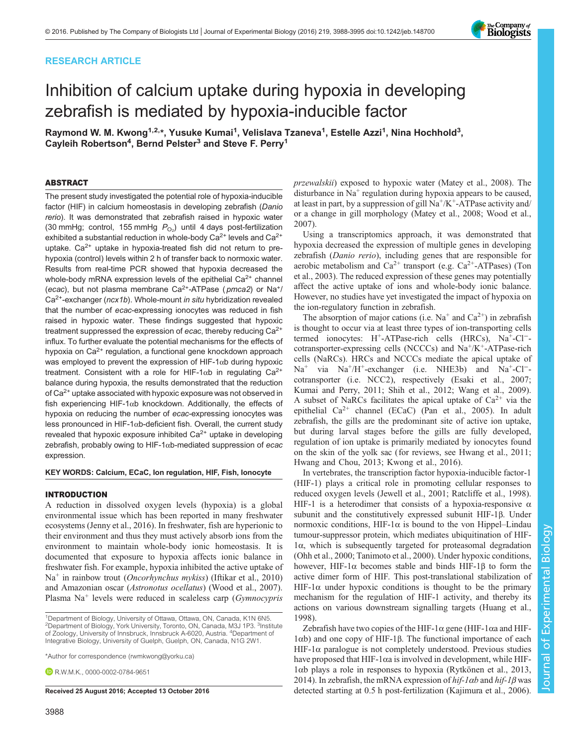# RESEARCH ARTICLE

# Inhibition of calcium uptake during hypoxia in developing zebrafish is mediated by hypoxia-inducible factor

Raymond W. M. Kwong<sup>1,2,</sup>\*, Yusuke Kumai<sup>1</sup>, Velislava Tzaneva<sup>1</sup>, Estelle Azzi<sup>1</sup>, Nina Hochhold<sup>3</sup>, Cayleih Robertson<sup>4</sup>, Bernd Pelster<sup>3</sup> and Steve F. Perry<sup>1</sup>

## ABSTRACT

The present study investigated the potential role of hypoxia-inducible factor (HIF) in calcium homeostasis in developing zebrafish (Danio rerio). It was demonstrated that zebrafish raised in hypoxic water (30 mmHg; control, 155 mmHg  $P_{\text{O}_2}$ ) until 4 days post-fertilization exhibited a substantial reduction in whole-body  $Ca^{2+}$  levels and  $Ca^{2+}$ uptake.  $Ca^{2+}$  uptake in hypoxia-treated fish did not return to prehypoxia (control) levels within 2 h of transfer back to normoxic water. Results from real-time PCR showed that hypoxia decreased the whole-body mRNA expression levels of the epithelial  $Ca<sup>2+</sup>$  channel (ecac), but not plasma membrane Ca<sup>2+</sup>-ATPase ( $pmca2$ ) or Na<sup>+</sup>/  $Ca<sup>2+</sup>$ -exchanger ( $ncx1b$ ). Whole-mount in situ hybridization revealed that the number of ecac-expressing ionocytes was reduced in fish raised in hypoxic water. These findings suggested that hypoxic treatment suppressed the expression of ecac, thereby reducing Ca<sup>2+</sup> influx. To further evaluate the potential mechanisms for the effects of hypoxia on Ca<sup>2+</sup> regulation, a functional gene knockdown approach was employed to prevent the expression of HIF-1αb during hypoxic treatment. Consistent with a role for HIF-1 $\alpha$ b in regulating Ca<sup>2+</sup> balance during hypoxia, the results demonstrated that the reduction of Ca2+ uptake associated with hypoxic exposure was not observed in fish experiencing HIF-1αb knockdown. Additionally, the effects of hypoxia on reducing the number of ecac-expressing ionocytes was less pronounced in HIF-1 $\alpha$ b-deficient fish. Overall, the current study revealed that hypoxic exposure inhibited  $Ca<sup>2+</sup>$  uptake in developing zebrafish, probably owing to HIF-1 $\alpha$ b-mediated suppression of ecac expression.

## KEY WORDS: Calcium, ECaC, Ion regulation, HIF, Fish, Ionocyte

## INTRODUCTION

A reduction in dissolved oxygen levels (hypoxia) is a global environmental issue which has been reported in many freshwater ecosystems [\(Jenny et al., 2016](#page-6-0)). In freshwater, fish are hyperionic to their environment and thus they must actively absorb ions from the environment to maintain whole-body ionic homeostasis. It is documented that exposure to hypoxia affects ionic balance in freshwater fish. For example, hypoxia inhibited the active uptake of Na<sup>+</sup> in rainbow trout (*Oncorhynchus mykiss*) [\(Iftikar et al., 2010\)](#page-6-0) and Amazonian oscar (Astronotus ocellatus) ([Wood et al., 2007\)](#page-7-0). Plasma  $Na<sup>+</sup>$  levels were reduced in scaleless carp ( $Gymnocypris$ 

\*Author for correspondence [\(rwmkwong@yorku.ca\)](mailto:rwmkwong@yorku.ca)

**DRWMK** [0000-0002-0784-9651](http://orcid.org/0000-0002-0784-9651)

przewalskii) exposed to hypoxic water [\(Matey et al., 2008](#page-6-0)). The disturbance in  $Na<sup>+</sup>$  regulation during hypoxia appears to be caused, at least in part, by a suppression of gill  $Na^+/K^+$ -ATPase activity and/ or a change in gill morphology ([Matey et al., 2008](#page-6-0); [Wood et al.,](#page-7-0) [2007\)](#page-7-0).

Using a transcriptomics approach, it was demonstrated that hypoxia decreased the expression of multiple genes in developing zebrafish (Danio rerio), including genes that are responsible for aerobic metabolism and  $Ca^{2+}$  transport (e.g.  $Ca^{2+}-ATPases$ ) ([Ton](#page-7-0) [et al., 2003](#page-7-0)). The reduced expression of these genes may potentially affect the active uptake of ions and whole-body ionic balance. However, no studies have yet investigated the impact of hypoxia on the ion-regulatory function in zebrafish.

The absorption of major cations (i.e.  $Na^+$  and  $Ca^{2+}$ ) in zebrafish is thought to occur via at least three types of ion-transporting cells termed ionocytes: H+-ATPase-rich cells (HRCs), Na+-Cl<sup>−</sup> cotransporter-expressing cells (NCCCs) and Na<sup>+</sup>/K<sup>+</sup>-ATPase-rich cells (NaRCs). HRCs and NCCCs mediate the apical uptake of Na<sup>+</sup> via Na+/H+-exchanger (i.e. NHE3b) and Na+-Cl<sup>−</sup> cotransporter (i.e. NCC2), respectively [\(Esaki et al., 2007](#page-6-0); [Kumai and Perry, 2011](#page-6-0); [Shih et al., 2012; Wang et al., 2009\)](#page-7-0). A subset of NaRCs facilitates the apical uptake of  $Ca^{2+}$  via the epithelial  $Ca^{2+}$  channel (ECaC) [\(Pan et al., 2005\)](#page-6-0). In adult zebrafish, the gills are the predominant site of active ion uptake, but during larval stages before the gills are fully developed, regulation of ion uptake is primarily mediated by ionocytes found on the skin of the yolk sac (for reviews, see [Hwang et al., 2011](#page-6-0); [Hwang and Chou, 2013; Kwong et al., 2016\)](#page-6-0).

In vertebrates, the transcription factor hypoxia-inducible factor-1 (HIF-1) plays a critical role in promoting cellular responses to reduced oxygen levels ([Jewell et al., 2001; Ratcliffe et al., 1998\)](#page-6-0). HIF-1 is a heterodimer that consists of a hypoxia-responsive  $\alpha$ subunit and the constitutively expressed subunit HIF-1β. Under normoxic conditions, HIF-1 $\alpha$  is bound to the von Hippel–Lindau tumour-suppressor protein, which mediates ubiquitination of HIF-1α, which is subsequently targeted for proteasomal degradation [\(Ohh et al., 2000;](#page-6-0) [Tanimoto et al., 2000](#page-7-0)). Under hypoxic conditions, however, HIF-1 $\alpha$  becomes stable and binds HIF-1 $\beta$  to form the active dimer form of HIF. This post-translational stabilization of HIF-1 $\alpha$  under hypoxic conditions is thought to be the primary mechanism for the regulation of HIF-1 activity, and thereby its actions on various downstream signalling targets ([Huang et al.,](#page-6-0) [1998\)](#page-6-0).

Zebrafish have two copies of the HIF-1 $\alpha$  gene (HIF-1 $\alpha$ a and HIF-1αb) and one copy of HIF-1β. The functional importance of each HIF-1 $\alpha$  paralogue is not completely understood. Previous studies have proposed that HIF-1αa is involved in development, while HIF-1αb plays a role in responses to hypoxia [\(Rytkönen et al., 2013,](#page-6-0) [2014](#page-7-0)). In zebrafish, the mRNA expression of  $hif-1\alpha b$  and  $hif-1\beta$  was Received 25 August 2016; Accepted 13 October 2016 detected starting at 0.5 h post-fertilization [\(Kajimura et al., 2006\)](#page-6-0).



<sup>&</sup>lt;sup>1</sup>Department of Biology, University of Ottawa, Ottawa, ON, Canada, K1N 6N5. <sup>2</sup>Department of Biology, York University, Toronto, ON, Canada, M3J 1P3. <sup>3</sup>Institute of Zoology, University of Innsbruck, Innsbruck A-6020, Austria. <sup>4</sup>Department of Integrative Biology, University of Guelph, Guelph, ON, Canada, N1G 2W1.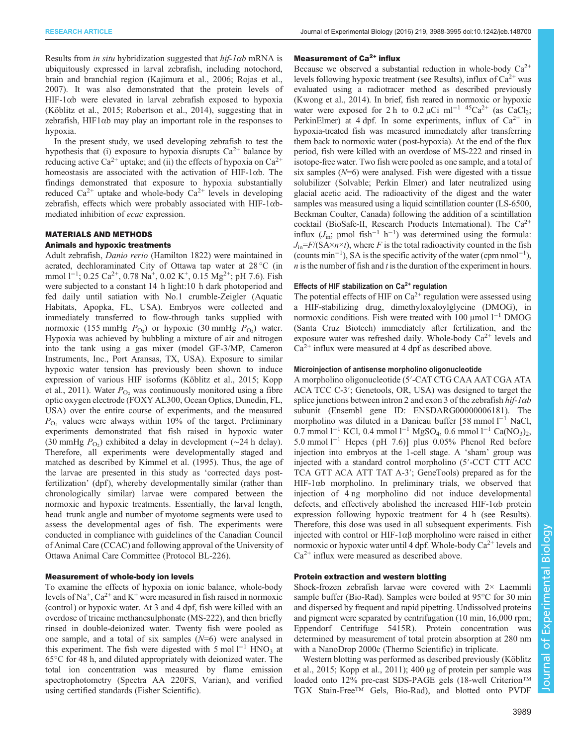Results from *in situ* hybridization suggested that  $hif-1ab$  mRNA is ubiquitously expressed in larval zebrafish, including notochord, brain and branchial region ([Kajimura et al., 2006](#page-6-0); [Rojas et al.,](#page-6-0) [2007](#page-6-0)). It was also demonstrated that the protein levels of HIF-1αb were elevated in larval zebrafish exposed to hypoxia [\(Köblitz et al., 2015; Robertson et al., 2014\)](#page-6-0), suggesting that in zebrafish,  $HIF1\alpha b$  may play an important role in the responses to hypoxia.

In the present study, we used developing zebrafish to test the hypothesis that (i) exposure to hypoxia disrupts  $Ca^{2+}$  balance by reducing active Ca<sup>2+</sup> uptake; and (ii) the effects of hypoxia on Ca<sup>2+</sup> homeostasis are associated with the activation of HIF-1αb. The findings demonstrated that exposure to hypoxia substantially reduced  $Ca^{2+}$  uptake and whole-body  $Ca^{2+}$  levels in developing zebrafish, effects which were probably associated with HIF- $1\alpha$ bmediated inhibition of ecac expression.

# MATERIALS AND METHODS

## Animals and hypoxic treatments

Adult zebrafish, Danio rerio (Hamilton 1822) were maintained in aerated, dechloraminated City of Ottawa tap water at 28 °C (in mmol l<sup>-1</sup>; 0.25 Ca<sup>2+</sup>, 0.78 Na<sup>+</sup>, 0.02 K<sup>+</sup>, 0.15 Mg<sup>2+</sup>; pH 7.6). Fish were subjected to a constant 14 h light:10 h dark photoperiod and fed daily until satiation with No.1 crumble-Zeigler (Aquatic Habitats, Apopka, FL, USA). Embryos were collected and immediately transferred to flow-through tanks supplied with normoxic (155 mmHg  $P_{\text{O}_2}$ ) or hypoxic (30 mmHg  $P_{\text{O}_2}$ ) water. Hypoxia was achieved by bubbling a mixture of air and nitrogen into the tank using a gas mixer (model GF-3/MP, Cameron Instruments, Inc., Port Aransas, TX, USA). Exposure to similar hypoxic water tension has previously been shown to induce expression of various HIF isoforms ([Köblitz et al., 2015](#page-6-0); [Kopp](#page-6-0) [et al., 2011](#page-6-0)). Water  $P_{\Omega_2}$  was continuously monitored using a fibre optic oxygen electrode (FOXY AL300, Ocean Optics, Dunedin, FL, USA) over the entire course of experiments, and the measured  $P_{\text{O}_2}$  values were always within 10% of the target. Preliminary experiments demonstrated that fish raised in hypoxic water (30 mmHg  $P_{\text{O}_2}$ ) exhibited a delay in development (~24 h delay). Therefore, all experiments were developmentally staged and matched as described by [Kimmel et al. \(1995\).](#page-6-0) Thus, the age of the larvae are presented in this study as 'corrected days postfertilization' (dpf), whereby developmentally similar (rather than chronologically similar) larvae were compared between the normoxic and hypoxic treatments. Essentially, the larval length, head–trunk angle and number of myotome segments were used to assess the developmental ages of fish. The experiments were conducted in compliance with guidelines of the Canadian Council of Animal Care (CCAC) and following approval of the University of Ottawa Animal Care Committee (Protocol BL-226).

## Measurement of whole-body ion levels

To examine the effects of hypoxia on ionic balance, whole-body levels of Na<sup>+</sup>, Ca<sup>2+</sup> and K<sup>+</sup> were measured in fish raised in normoxic (control) or hypoxic water. At 3 and 4 dpf, fish were killed with an overdose of tricaine methanesulphonate (MS-222), and then briefly rinsed in double-deionized water. Twenty fish were pooled as one sample, and a total of six samples  $(N=6)$  were analysed in this experiment. The fish were digested with 5 mol  $1^{-1}$  HNO<sub>3</sub> at 65°C for 48 h, and diluted appropriately with deionized water. The total ion concentration was measured by flame emission spectrophotometry (Spectra AA 220FS, Varian), and verified using certified standards (Fisher Scientific).

## Measurement of Ca<sup>2+</sup> influx

Because we observed a substantial reduction in whole-body  $Ca^{2+}$ levels following hypoxic treatment (see Results), influx of  $Ca^{2+}$  was evaluated using a radiotracer method as described previously [\(Kwong et al., 2014\)](#page-6-0). In brief, fish reared in normoxic or hypoxic water were exposed for 2 h to 0.2 µCi ml<sup>-1 45</sup>Ca<sup>2+</sup> (as CaCl<sub>2</sub>; PerkinElmer) at 4 dpf. In some experiments, influx of  $Ca^{2+}$  in hypoxia-treated fish was measured immediately after transferring them back to normoxic water (post-hypoxia). At the end of the flux period, fish were killed with an overdose of MS-222 and rinsed in isotope-free water. Two fish were pooled as one sample, and a total of six samples  $(N=6)$  were analysed. Fish were digested with a tissue solubilizer (Solvable; Perkin Elmer) and later neutralized using glacial acetic acid. The radioactivity of the digest and the water samples was measured using a liquid scintillation counter (LS-6500, Beckman Coulter, Canada) following the addition of a scintillation cocktail (BioSafe-II, Research Products International). The  $Ca^{2+}$ influx  $(J_{\text{in}}; \text{ pmol fish}^{-1} \text{ h}^{-1})$  was determined using the formula:  $J_{\text{in}}=F/(SA \times n \times t)$ , where F is the total radioactivity counted in the fish (counts min−<sup>1</sup> ), SA is the specific activity of the water (cpm nmol−<sup>1</sup> ),  $n$  is the number of fish and  $t$  is the duration of the experiment in hours.

## Effects of HIF stabilization on  $Ca<sup>2+</sup>$  regulation

The potential effects of HIF on  $Ca^{2+}$  regulation were assessed using a HIF-stabilizing drug, dimethyloxaloylglycine (DMOG), in normoxic conditions. Fish were treated with 100 μmol l<sup>−1</sup> DMOG (Santa Cruz Biotech) immediately after fertilization, and the exposure water was refreshed daily. Whole-body  $Ca^{2+}$  levels and  $Ca<sup>2+</sup>$  influx were measured at 4 dpf as described above.

## Microinjection of antisense morpholino oligonucleotide

A morpholino oligonucleotide (5′-CAT CTG CAA AAT CGA ATA ACA TCC C-3′; Genetools, OR, USA) was designed to target the splice junctions between intron 2 and exon 3 of the zebrafish  $hif-1ab$ subunit (Ensembl gene ID: ENSDARG00000006181). The morpholino was diluted in a Danieau buffer [58 mmol l<sup>−1</sup> NaCl, 0.7 mmol l<sup>-1</sup> KCl, 0.4 mmol l<sup>-1</sup> MgSO<sub>4</sub>, 0.6 mmol l<sup>-1</sup> Ca(NO<sub>3</sub>)<sub>2</sub>, 5.0 mmol l−<sup>1</sup> Hepes ( pH 7.6)] plus 0.05% Phenol Red before injection into embryos at the 1-cell stage. A 'sham' group was injected with a standard control morpholino (5′-CCT CTT ACC TCA GTT ACA ATT TAT A-3′; GeneTools) prepared as for the HIF-1αb morpholino. In preliminary trials, we observed that injection of 4 ng morpholino did not induce developmental defects, and effectively abolished the increased HIF-1 $\alpha$ b protein expression following hypoxic treatment for 4 h (see Results). Therefore, this dose was used in all subsequent experiments. Fish injected with control or HIF-1αβ morpholino were raised in either normoxic or hypoxic water until 4 dpf. Whole-body  $Ca^{2+}$  levels and  $Ca^{2+}$  influx were measured as described above.

## Protein extraction and western blotting

Shock-frozen zebrafish larvae were covered with 2× Laemmli sample buffer (Bio-Rad). Samples were boiled at 95°C for 30 min and dispersed by frequent and rapid pipetting. Undissolved proteins and pigment were separated by centrifugation (10 min, 16,000 rpm; Eppendorf Centrifuge 5415R). Protein concentration was determined by measurement of total protein absorption at 280 nm with a NanoDrop 2000c (Thermo Scientific) in triplicate.

Western blotting was performed as described previously ([Köblitz](#page-6-0) [et al., 2015](#page-6-0); [Kopp et al., 2011\)](#page-6-0); 400 µg of protein per sample was loaded onto 12% pre-cast SDS-PAGE gels (18-well Criterion™ TGX Stain-Free™ Gels, Bio-Rad), and blotted onto PVDF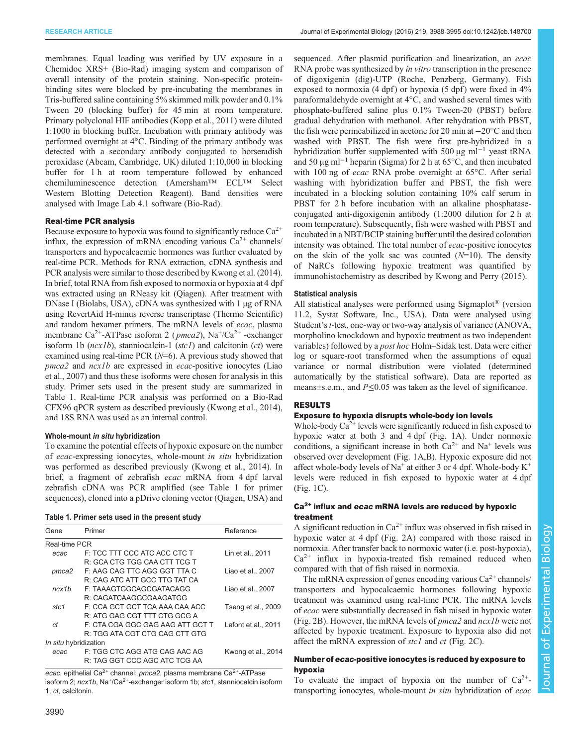membranes. Equal loading was verified by UV exposure in a Chemidoc XRS+ (Bio-Rad) imaging system and comparison of overall intensity of the protein staining. Non-specific proteinbinding sites were blocked by pre-incubating the membranes in Tris-buffered saline containing 5% skimmed milk powder and 0.1% Tween 20 (blocking buffer) for 45 min at room temperature. Primary polyclonal HIF antibodies ([Kopp et al., 2011\)](#page-6-0) were diluted 1:1000 in blocking buffer. Incubation with primary antibody was performed overnight at 4°C. Binding of the primary antibody was detected with a secondary antibody conjugated to horseradish peroxidase (Abcam, Cambridge, UK) diluted 1:10,000 in blocking buffer for 1 h at room temperature followed by enhanced chemiluminescence detection (Amersham™ ECL™ Select Western Blotting Detection Reagent). Band densities were analysed with Image Lab 4.1 software (Bio-Rad).

## Real-time PCR analysis

Because exposure to hypoxia was found to significantly reduce  $Ca^{2+}$ influx, the expression of mRNA encoding various  $Ca^{2+}$  channels/ transporters and hypocalcaemic hormones was further evaluated by real-time PCR. Methods for RNA extraction, cDNA synthesis and PCR analysis were similar to those described by [Kwong et al. \(2014\).](#page-6-0) In brief, total RNA from fish exposed to normoxia or hypoxia at 4 dpf was extracted using an RNeasy kit (Qiagen). After treatment with DNase I (Biolabs, USA), cDNA was synthesized with 1 μg of RNA using RevertAid H-minus reverse transcriptase (Thermo Scientific) and random hexamer primers. The mRNA levels of ecac, plasma membrane  $Ca^{2+}$ -ATPase isoform 2 (*pmca2*), Na<sup>+</sup>/Ca<sup>2+</sup> -exchanger isoform 1b  $(ncx1b)$ , stanniocalcin-1  $(stc1)$  and calcitonin  $(ct)$  were examined using real-time PCR  $(N=6)$ . A previous study showed that pmca2 and ncx1b are expressed in ecac-positive ionocytes [\(Liao](#page-6-0) [et al., 2007](#page-6-0)) and thus these isoforms were chosen for analysis in this study. Primer sets used in the present study are summarized in Table 1. Real-time PCR analysis was performed on a Bio-Rad CFX96 qPCR system as described previously [\(Kwong et al., 2014\)](#page-6-0), and 18S RNA was used as an internal control.

## Whole-mount in situ hybridization

To examine the potential effects of hypoxic exposure on the number of ecac-expressing ionocytes, whole-mount in situ hybridization was performed as described previously ([Kwong et al., 2014](#page-6-0)). In brief, a fragment of zebrafish ecac mRNA from 4 dpf larval zebrafish cDNA was PCR amplified (see Table 1 for primer sequences), cloned into a pDrive cloning vector (Qiagen, USA) and

| Table 1. Primer sets used in the present study |  |  |  |  |  |  |  |
|------------------------------------------------|--|--|--|--|--|--|--|
|------------------------------------------------|--|--|--|--|--|--|--|

| Gene                  | Primer                           | Reference           |
|-----------------------|----------------------------------|---------------------|
| Real-time PCR         |                                  |                     |
| ecac                  | F: TCC TTT CCC ATC ACC CTC T     | Lin et al., 2011    |
|                       | R: GCA CTG TGG CAA CTT TCG T     |                     |
| pmca2                 | F: AAG CAG TTC AGG GGT TTA C     | Liao et al., 2007   |
|                       | R: CAG ATC ATT GCC TTG TAT CA    |                     |
| ncx1b                 | F: TAAAGTGGCAGCGATACAGG          | Liao et al., 2007   |
|                       | R: CAGATCAAGGCGAAGATGG           |                     |
| stc1                  | F: CCA GCT GCT TCA AAA CAA ACC   | Tseng et al., 2009  |
|                       | R: ATG GAG CGT TTT CTG GCG A     |                     |
| сt                    | F: CTA CGA GGC GAG AAG ATT GCT T | Lafont et al., 2011 |
|                       | R: TGG ATA CGT CTG CAG CTT GTG   |                     |
| In situ hybridization |                                  |                     |
| ecac                  | F: TGG CTC AGG ATG CAG AAC AG    | Kwong et al., 2014  |
|                       | R: TAG GGT CCC AGC ATC TCG AA    |                     |

ecac, epithelial Ca<sup>2+</sup> channel; pmca2, plasma membrane Ca<sup>2+</sup>-ATPase isoform 2; ncx1b, Na<sup>+</sup>/Ca<sup>2+</sup>-exchanger isoform 1b; stc1, stanniocalcin isoform 1; ct, calcitonin.

sequenced. After plasmid purification and linearization, an ecac RNA probe was synthesized by *in vitro* transcription in the presence of digoxigenin (dig)-UTP (Roche, Penzberg, Germany). Fish exposed to normoxia  $(4 \text{ dpf})$  or hypoxia  $(5 \text{ dpf})$  were fixed in  $4\%$ paraformaldehyde overnight at 4°C, and washed several times with phosphate-buffered saline plus 0.1% Tween-20 (PBST) before gradual dehydration with methanol. After rehydration with PBST, the fish were permeabilized in acetone for 20 min at −20°C and then washed with PBST. The fish were first pre-hybridized in a hybridization buffer supplemented with 500  $\mu$ g ml<sup>-1</sup> yeast tRNA and 50 μg ml−<sup>1</sup> heparin (Sigma) for 2 h at 65°C, and then incubated with 100 ng of ecac RNA probe overnight at 65°C. After serial washing with hybridization buffer and PBST, the fish were incubated in a blocking solution containing 10% calf serum in PBST for 2 h before incubation with an alkaline phosphataseconjugated anti-digoxigenin antibody (1:2000 dilution for 2 h at room temperature). Subsequently, fish were washed with PBST and incubated in a NBT/BCIP staining buffer until the desired coloration intensity was obtained. The total number of ecac-positive ionocytes on the skin of the yolk sac was counted  $(N=10)$ . The density of NaRCs following hypoxic treatment was quantified by immunohistochemistry as described by [Kwong and Perry \(2015\)](#page-6-0).

## Statistical analysis

All statistical analyses were performed using Sigmaplot® (version 11.2, Systat Software, Inc., USA). Data were analysed using Student's *t*-test, one-way or two-way analysis of variance (ANOVA; morpholino knockdown and hypoxic treatment as two independent variables) followed by a post hoc Holm–Sidak test. Data were either log or square-root transformed when the assumptions of equal variance or normal distribution were violated (determined automatically by the statistical software). Data are reported as means $\pm$ s.e.m., and  $P \le 0.05$  was taken as the level of significance.

# RESULTS

## Exposure to hypoxia disrupts whole-body ion levels

Whole-body  $Ca^{2+}$  levels were significantly reduced in fish exposed to hypoxic water at both 3 and 4 dpf [\(Fig. 1](#page-3-0)A). Under normoxic conditions, a significant increase in both  $Ca^{2+}$  and  $Na^{+}$  levels was observed over development [\(Fig. 1](#page-3-0)A,B). Hypoxic exposure did not affect whole-body levels of  $Na^+$  at either 3 or 4 dpf. Whole-body  $K^+$ levels were reduced in fish exposed to hypoxic water at 4 dpf [\(Fig. 1C](#page-3-0)).

## Ca<sup>2+</sup> influx and ecac mRNA levels are reduced by hypoxic treatment

A significant reduction in  $Ca^{2+}$  influx was observed in fish raised in hypoxic water at 4 dpf ([Fig. 2](#page-3-0)A) compared with those raised in normoxia. After transfer back to normoxic water (i.e. post-hypoxia),  $Ca<sup>2+</sup>$  influx in hypoxia-treated fish remained reduced when compared with that of fish raised in normoxia.

The mRNA expression of genes encoding various  $Ca^{2+}$  channels/ transporters and hypocalcaemic hormones following hypoxic treatment was examined using real-time PCR. The mRNA levels of ecac were substantially decreased in fish raised in hypoxic water [\(Fig. 2B](#page-3-0)). However, the mRNA levels of pmca2 and ncx1b were not affected by hypoxic treatment. Exposure to hypoxia also did not affect the mRNA expression of stc1 and ct ([Fig. 2](#page-3-0)C).

# Number of ecac-positive ionocytes is reduced by exposure to hypoxia

To evaluate the impact of hypoxia on the number of  $Ca^{2+}$ transporting ionocytes, whole-mount in situ hybridization of ecac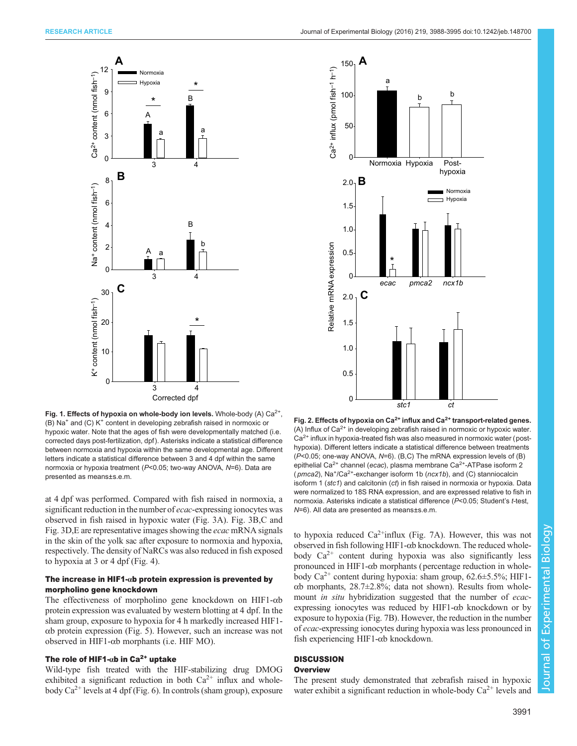<span id="page-3-0"></span>

Fig. 1. Effects of hypoxia on whole-body ion levels. Whole-body (A)  $Ca^{2+}$ , (B) Na+ and (C) K+ content in developing zebrafish raised in normoxic or hypoxic water. Note that the ages of fish were developmentally matched (i.e. corrected days post-fertilization, dpf ). Asterisks indicate a statistical difference between normoxia and hypoxia within the same developmental age. Different letters indicate a statistical difference between 3 and 4 dpf within the same normoxia or hypoxia treatment (P<0.05; two-way ANOVA, N=6). Data are presented as means±s.e.m.

at 4 dpf was performed. Compared with fish raised in normoxia, a significant reduction in the number of *ecac*-expressing ionocytes was observed in fish raised in hypoxic water ([Fig. 3](#page-4-0)A). [Fig. 3](#page-4-0)B,C and [Fig. 3](#page-4-0)D,E are representative images showing the ecac mRNA signals in the skin of the yolk sac after exposure to normoxia and hypoxia, respectively. The density of NaRCs was also reduced in fish exposed to hypoxia at 3 or 4 dpf [\(Fig. 4](#page-4-0)).

## The increase in HIF1- $\alpha$ b protein expression is prevented by morpholino gene knockdown

The effectiveness of morpholino gene knockdown on HIF1-αb protein expression was evaluated by western blotting at 4 dpf. In the sham group, exposure to hypoxia for 4 h markedly increased HIF1 αb protein expression ([Fig. 5](#page-4-0)). However, such an increase was not observed in HIF1-αb morphants (i.e. HIF MO).

# The role of HIF1- $\alpha$ b in Ca<sup>2+</sup> uptake

Wild-type fish treated with the HIF-stabilizing drug DMOG exhibited a significant reduction in both  $Ca^{2+}$  influx and wholebody  $Ca^{2+}$  levels at 4 dpf [\(Fig. 6](#page-5-0)). In controls (sham group), exposure



Fig. 2. Effects of hypoxia on  $Ca^{2+}$  influx and  $Ca^{2+}$  transport-related genes. (A) Influx of  $Ca^{2+}$  in developing zebrafish raised in normoxic or hypoxic water.  $Ca<sup>2+</sup>$  influx in hypoxia-treated fish was also measured in normoxic water (posthypoxia). Different letters indicate a statistical difference between treatments (P<0.05; one-way ANOVA, N=6). (B,C) The mRNA expression levels of (B) epithelial Ca<sup>2+</sup> channel (ecac), plasma membrane Ca<sup>2+</sup>-ATPase isoform 2 (  $p$ mca2), Na<sup>+</sup>/Ca<sup>2+</sup>-exchanger isoform 1b ( $ncx1b$ ), and (C) stanniocalcin isoform 1 (stc1) and calcitonin (ct) in fish raised in normoxia or hypoxia. Data were normalized to 18S RNA expression, and are expressed relative to fish in normoxia. Asterisks indicate a statistical difference (P<0.05; Student's t-test, N=6). All data are presented as means±s.e.m.

to hypoxia reduced  $Ca^{2+}$ influx [\(Fig. 7A](#page-5-0)). However, this was not observed in fish following HIF1-αb knockdown. The reduced wholebody Ca<sup>2+</sup> content during hypoxia was also significantly less pronounced in HIF1-αb morphants (percentage reduction in wholebody  $Ca^{2+}$  content during hypoxia: sham group, 62.6 $\pm$ 5.5%; HIF1αb morphants, 28.7±2.8%; data not shown). Results from wholemount in situ hybridization suggested that the number of ecacexpressing ionocytes was reduced by HIF1-αb knockdown or by exposure to hypoxia [\(Fig. 7](#page-5-0)B). However, the reduction in the number of ecac-expressing ionocytes during hypoxia was less pronounced in fish experiencing HIF1-αb knockdown.

#### **DISCUSSION Overview**

The present study demonstrated that zebrafish raised in hypoxic water exhibit a significant reduction in whole-body  $Ca^{2+}$  levels and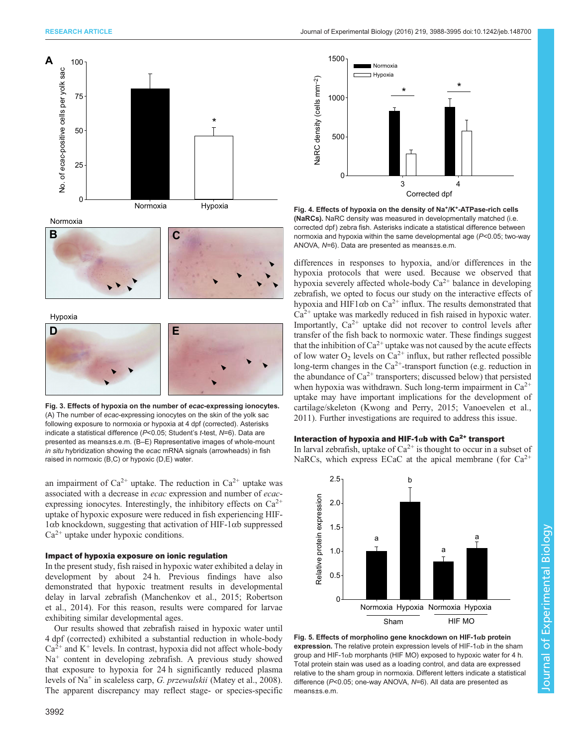<span id="page-4-0"></span>

Normoxia



Hypoxia



Fig. 3. Effects of hypoxia on the number of ecac-expressing ionocytes. (A) The number of ecac-expressing ionocytes on the skin of the yolk sac following exposure to normoxia or hypoxia at 4 dpf (corrected). Asterisks indicate a statistical difference ( $P<0.05$ ; Student's t-test,  $N=6$ ). Data are presented as means±s.e.m. (B–E) Representative images of whole-mount in situ hybridization showing the ecac mRNA signals (arrowheads) in fish raised in normoxic (B,C) or hypoxic (D,E) water.

an impairment of  $Ca^{2+}$  uptake. The reduction in  $Ca^{2+}$  uptake was associated with a decrease in ecac expression and number of ecacexpressing ionocytes. Interestingly, the inhibitory effects on  $Ca^{2+}$ uptake of hypoxic exposure were reduced in fish experiencing HIF-1αb knockdown, suggesting that activation of HIF-1αb suppressed  $Ca<sup>2+</sup>$  uptake under hypoxic conditions.

## Impact of hypoxia exposure on ionic regulation

In the present study, fish raised in hypoxic water exhibited a delay in development by about 24 h. Previous findings have also demonstrated that hypoxic treatment results in developmental delay in larval zebrafish [\(Manchenkov et al., 2015; Robertson](#page-6-0) [et al., 2014\)](#page-6-0). For this reason, results were compared for larvae exhibiting similar developmental ages.

Our results showed that zebrafish raised in hypoxic water until 4 dpf (corrected) exhibited a substantial reduction in whole-body  $Ca<sup>2+</sup>$  and K<sup>+</sup> levels. In contrast, hypoxia did not affect whole-body  $Na<sup>+</sup>$  content in developing zebrafish. A previous study showed that exposure to hypoxia for 24 h significantly reduced plasma levels of Na<sup>+</sup> in scaleless carp, G. przewalskii [\(Matey et al., 2008\)](#page-6-0). The apparent discrepancy may reflect stage- or species-specific



Fig. 4. Effects of hypoxia on the density of Na<sup>+</sup>/K<sup>+</sup>-ATPase-rich cells (NaRCs). NaRC density was measured in developmentally matched (i.e. corrected dpf) zebra fish. Asterisks indicate a statistical difference between normoxia and hypoxia within the same developmental age (P<0.05; two-way ANOVA, N=6). Data are presented as means±s.e.m.

differences in responses to hypoxia, and/or differences in the hypoxia protocols that were used. Because we observed that hypoxia severely affected whole-body  $Ca^{2+}$  balance in developing zebrafish, we opted to focus our study on the interactive effects of hypoxia and HIF1 $\alpha$ b on Ca<sup>2+</sup> influx. The results demonstrated that  $Ca<sup>2+</sup>$  uptake was markedly reduced in fish raised in hypoxic water. Importantly,  $Ca^{2+}$  uptake did not recover to control levels after transfer of the fish back to normoxic water. These findings suggest that the inhibition of  $Ca^{2+}$  uptake was not caused by the acute effects of low water  $O_2$  levels on  $Ca^{2+}$  influx, but rather reflected possible long-term changes in the Ca<sup>2+</sup>-transport function (e.g. reduction in the abundance of  $Ca^{2+}$  transporters; discussed below) that persisted when hypoxia was withdrawn. Such long-term impairment in  $Ca^{2+}$ uptake may have important implications for the development of cartilage/skeleton ([Kwong and Perry, 2015;](#page-6-0) [Vanoevelen et al.,](#page-7-0) [2011\)](#page-7-0). Further investigations are required to address this issue.

# Interaction of hypoxia and HIF-1 $\alpha$ b with Ca<sup>2+</sup> transport

In larval zebrafish, uptake of  $Ca^{2+}$  is thought to occur in a subset of NaRCs, which express ECaC at the apical membrane (for  $Ca^{2+}$ )



Fig. 5. Effects of morpholino gene knockdown on HIF-1 $\alpha$ b protein expression. The relative protein expression levels of HIF-1 $\alpha$ b in the sham group and HIF-1αb morphants (HIF MO) exposed to hypoxic water for 4 h. Total protein stain was used as a loading control, and data are expressed relative to the sham group in normoxia. Different letters indicate a statistical difference (P<0.05; one-way ANOVA, N=6). All data are presented as means±s.e.m.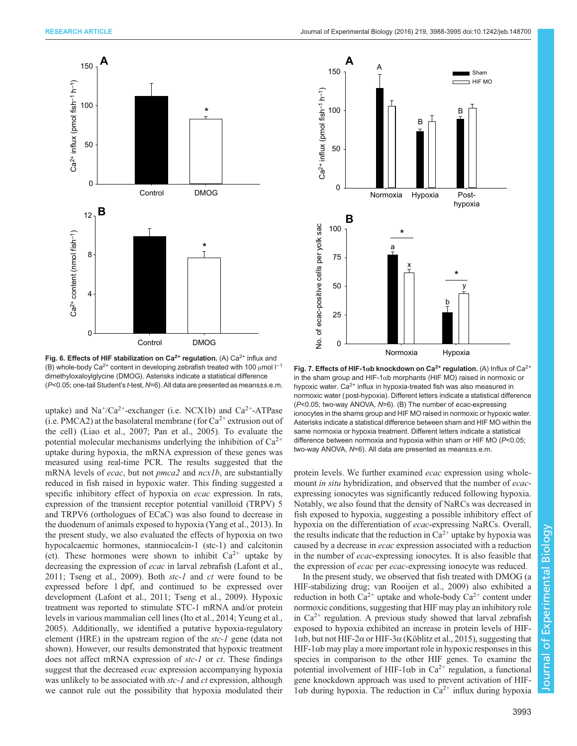<span id="page-5-0"></span>

Fig. 6. Effects of HIF stabilization on  $Ca^{2+}$  regulation. (A)  $Ca^{2+}$  influx and (B) whole-body Ca<sup>2+</sup> content in developing zebrafish treated with 100 μmol l<sup>-1</sup> dimethyloxaloylglycine (DMOG). Asterisks indicate a statistical difference (P<0.05; one-tail Student's t-test, N=6). All data are presented as means±s.e.m.

uptake) and  $Na^+/Ca^{2+}$ -exchanger (i.e. NCX1b) and  $Ca^{2+}-ATP$ ase (i.e. PMCA2) at the basolateral membrane (for  $Ca^{2+}$  extrusion out of the cell) ([Liao et al., 2007](#page-6-0); [Pan et al., 2005](#page-6-0)). To evaluate the potential molecular mechanisms underlying the inhibition of  $Ca^{2+}$ uptake during hypoxia, the mRNA expression of these genes was measured using real-time PCR. The results suggested that the mRNA levels of *ecac*, but not  $pmca2$  and  $ncx1b$ , are substantially reduced in fish raised in hypoxic water. This finding suggested a specific inhibitory effect of hypoxia on *ecac* expression. In rats, expression of the transient receptor potential vanilloid (TRPV) 5 and TRPV6 (orthologues of ECaC) was also found to decrease in the duodenum of animals exposed to hypoxia ([Yang et al., 2013\)](#page-7-0). In the present study, we also evaluated the effects of hypoxia on two hypocalcaemic hormones, stanniocalcin-1 (stc-1) and calcitonin (ct). These hormones were shown to inhibit  $Ca^{2+}$  uptake by decreasing the expression of *ecac* in larval zebrafish ([Lafont et al.,](#page-6-0) [2011](#page-6-0); [Tseng et al., 2009](#page-7-0)). Both stc-1 and ct were found to be expressed before 1 dpf, and continued to be expressed over development [\(Lafont et al., 2011;](#page-6-0) [Tseng et al., 2009\)](#page-7-0). Hypoxic treatment was reported to stimulate STC-1 mRNA and/or protein levels in various mammalian cell lines ([Ito et al., 2014](#page-6-0); [Yeung et al.,](#page-7-0) [2005](#page-7-0)). Additionally, we identified a putative hypoxia-regulatory element (HRE) in the upstream region of the stc-1 gene (data not shown). However, our results demonstrated that hypoxic treatment does not affect mRNA expression of stc-1 or ct. These findings suggest that the decreased *ecac* expression accompanying hypoxia was unlikely to be associated with *stc-1* and *ct* expression, although we cannot rule out the possibility that hypoxia modulated their



Fig. 7. Effects of HIF-1 $\alpha$ b knockdown on Ca<sup>2+</sup> regulation. (A) Influx of Ca<sup>2+</sup> in the sham group and HIF-1αb morphants (HIF MO) raised in normoxic or hypoxic water. Ca<sup>2+</sup> influx in hypoxia-treated fish was also measured in normoxic water (post-hypoxia). Different letters indicate a statistical difference (P<0.05; two-way ANOVA, N=6). (B) The number of ecac-expressing ionocytes in the shams group and HIF MO raised in normoxic or hypoxic water. Asterisks indicate a statistical difference between sham and HIF MO within the same normoxia or hypoxia treatment. Different letters indicate a statistical difference between normoxia and hypoxia within sham or HIF MO (P<0.05; two-way ANOVA, N=6). All data are presented as means±s.e.m.

protein levels. We further examined *ecac* expression using wholemount *in situ* hybridization, and observed that the number of *ecac*expressing ionocytes was significantly reduced following hypoxia. Notably, we also found that the density of NaRCs was decreased in fish exposed to hypoxia, suggesting a possible inhibitory effect of hypoxia on the differentiation of ecac-expressing NaRCs. Overall, the results indicate that the reduction in  $Ca^{2+}$  uptake by hypoxia was caused by a decrease in ecac expression associated with a reduction in the number of ecac-expressing ionocytes. It is also feasible that the expression of ecac per ecac-expressing ionocyte was reduced.

In the present study, we observed that fish treated with DMOG (a HIF-stabilizing drug; [van Rooijen et al., 2009](#page-7-0)) also exhibited a reduction in both  $Ca^{2+}$  uptake and whole-body  $Ca^{2+}$  content under normoxic conditions, suggesting that HIF may play an inhibitory role in  $Ca^{2+}$  regulation. A previous study showed that larval zebrafish exposed to hypoxia exhibited an increase in protein levels of HIF-1αb, but not HIF-2α or HIF-3α [\(Köblitz et al., 2015](#page-6-0)), suggesting that HIF-1 $\alpha$ b may play a more important role in hypoxic responses in this species in comparison to the other HIF genes. To examine the potential involvement of HIF-1 $\alpha$ b in Ca<sup>2+</sup> regulation, a functional gene knockdown approach was used to prevent activation of HIF- $1αb$  during hypoxia. The reduction in Ca<sup>2+</sup> influx during hypoxia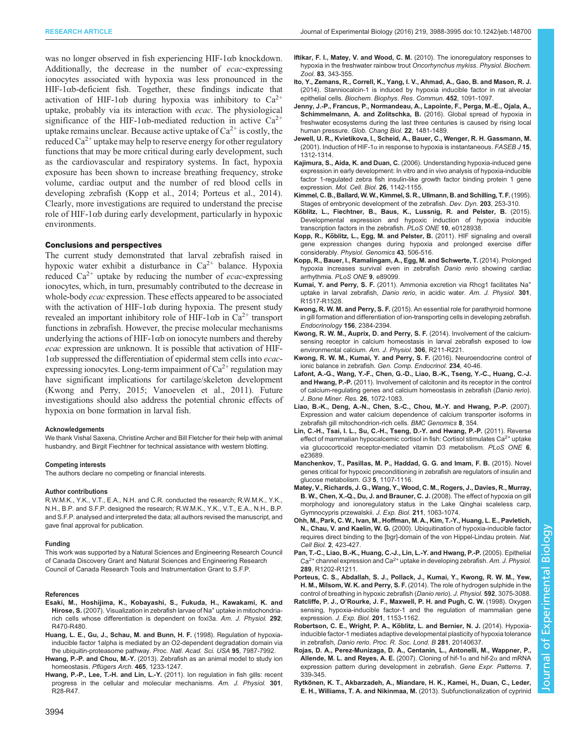<span id="page-6-0"></span>was no longer observed in fish experiencing HIF-1αb knockdown. Additionally, the decrease in the number of *ecac*-expressing ionocytes associated with hypoxia was less pronounced in the HIF-1αb-deficient fish. Together, these findings indicate that activation of HIF-1 $\alpha$ b during hypoxia was inhibitory to Ca<sup>2+</sup> uptake, probably via its interaction with ecac. The physiological significance of the HIF-1αb-mediated reduction in active  $Ca^{2+}$ uptake remains unclear. Because active uptake of  $Ca^{2+}$  is costly, the reduced  $Ca^{2+}$  uptake may help to reserve energy for other regulatory functions that may be more critical during early development, such as the cardiovascular and respiratory systems. In fact, hypoxia exposure has been shown to increase breathing frequency, stroke volume, cardiac output and the number of red blood cells in developing zebrafish (Kopp et al., 2014; Porteus et al., 2014). Clearly, more investigations are required to understand the precise role of HIF-1 $\alpha$ b during early development, particularly in hypoxic environments.

#### Conclusions and perspectives

The current study demonstrated that larval zebrafish raised in hypoxic water exhibit a disturbance in  $Ca^{2+}$  balance. Hypoxia reduced  $Ca^{2+}$  uptake by reducing the number of *ecac*-expressing ionocytes, which, in turn, presumably contributed to the decrease in whole-body *ecac* expression. These effects appeared to be associated with the activation of HIF-1αb during hypoxia. The present study revealed an important inhibitory role of HIF-1 $\alpha$ b in Ca<sup>2+</sup> transport functions in zebrafish. However, the precise molecular mechanisms underlying the actions of HIF-1 $\alpha$ b on ionocyte numbers and thereby ecac expression are unknown. It is possible that activation of HIF-1αb suppressed the differentiation of epidermal stem cells into ecacexpressing ionocytes. Long-term impairment of  $Ca^{2+}$  regulation may have significant implications for cartilage/skeleton development (Kwong and Perry, 2015; [Vanoevelen et al., 2011\)](#page-7-0). Future investigations should also address the potential chronic effects of hypoxia on bone formation in larval fish.

#### Acknowledgements

We thank Vishal Saxena, Christine Archer and Bill Fletcher for their help with animal husbandry, and Birgit Fiechtner for technical assistance with western blotting.

## Competing interests

The authors declare no competing or financial interests.

#### Author contributions

R.W.M.K., Y.K., V.T., E.A., N.H. and C.R. conducted the research; R.W.M.K., Y.K., N.H., B.P. and S.F.P. designed the research; R.W.M.K., Y.K., V.T., E.A., N.H., B.P. and S.F.P. analysed and interpreted the data; all authors revised the manuscript, and gave final approval for publication.

#### Funding

This work was supported by a Natural Sciences and Engineering Research Council of Canada Discovery Grant and Natural Sciences and Engineering Research Council of Canada Research Tools and Instrumentation Grant to S.F.P.

#### References

- Esaki, M., Hoshijima, K., Kobayashi, S., Fukuda, H., Kawakami, K. and Hirose, S. (2007). Visualization in zebrafish larvae of Na<sup>+</sup> uptake in mitochondriarich cells whose differentiation is dependent on foxi3a. Am. J. Physiol. 292, R470-R480.
- [Huang, L. E., Gu, J., Schau, M. and Bunn, H. F.](http://dx.doi.org/10.1073/pnas.95.14.7987) (1998). Regulation of hypoxia[inducible factor 1alpha is mediated by an O2-dependent degradation domain via](http://dx.doi.org/10.1073/pnas.95.14.7987) [the ubiquitin-proteasome pathway.](http://dx.doi.org/10.1073/pnas.95.14.7987) Proc. Natl. Acad. Sci. USA 95, 7987-7992.
- Hwang, P.-P. and Chou, M.-Y. [\(2013\). Zebrafish as an animal model to study ion](http://dx.doi.org/10.1007/s00424-013-1269-1) [homeostasis.](http://dx.doi.org/10.1007/s00424-013-1269-1) Pflügers Arch. 465, 1233-1247.
- Hwang, P.-P., Lee, T.-H. and Lin, L.-Y. [\(2011\). Ion regulation in fish gills: recent](http://dx.doi.org/10.1152/ajpregu.00047.2011) [progress in the cellular and molecular mechanisms.](http://dx.doi.org/10.1152/ajpregu.00047.2011) Am. J. Physiol. 301, [R28-R47.](http://dx.doi.org/10.1152/ajpregu.00047.2011)
- [Iftikar, F. I., Matey, V. and Wood, C. M.](http://dx.doi.org/10.1086/648566) (2010). The ionoregulatory responses to [hypoxia in the freshwater rainbow trout](http://dx.doi.org/10.1086/648566) Oncorhynchus mykiss. Physiol. Biochem. Zool. 83[, 343-355.](http://dx.doi.org/10.1086/648566)
- [Ito, Y., Zemans, R., Correll, K., Yang, I. V., Ahmad, A., Gao, B. and Mason, R. J.](http://dx.doi.org/10.1016/j.bbrc.2014.09.060) [\(2014\). Stanniocalcin-1 is induced by hypoxia inducible factor in rat alveolar](http://dx.doi.org/10.1016/j.bbrc.2014.09.060) epithelial cells. [Biochem. Biophys. Res. Commun.](http://dx.doi.org/10.1016/j.bbrc.2014.09.060) 452, 1091-1097.
- [Jenny, J.-P., Francus, P., Normandeau, A., Lapointe, F., Perga, M.-E., Ojala, A.,](http://dx.doi.org/10.1111/gcb.13193) [Schimmelmann, A. and Zolitschka, B.](http://dx.doi.org/10.1111/gcb.13193) (2016). Global spread of hypoxia in [freshwater ecosystems during the last three centuries is caused by rising local](http://dx.doi.org/10.1111/gcb.13193) human pressure. [Glob. Chang Biol.](http://dx.doi.org/10.1111/gcb.13193) 22, 1481-1489.
- [Jewell, U. R., Kvietikova, I., Scheid, A., Bauer, C., Wenger, R. H. Gassmann, M.](http://dx.doi.org/10.1096/fj.00-0732fje) (2001). Induction of HIF-1 $\alpha$  [in response to hypoxia is instantaneous.](http://dx.doi.org/10.1096/fj.00-0732fje) FASEB J 15, [1312-1314.](http://dx.doi.org/10.1096/fj.00-0732fje)
- Kajimura, S., Aida, K. and Duan, C. [\(2006\). Understanding hypoxia-induced gene](http://dx.doi.org/10.1128/MCB.26.3.1142-1155.2006) [expression in early development: In vitro and in vivo analysis of hypoxia-inducible](http://dx.doi.org/10.1128/MCB.26.3.1142-1155.2006) [factor 1-regulated zebra fish insulin-like growth factor binding protein 1 gene](http://dx.doi.org/10.1128/MCB.26.3.1142-1155.2006) expression. [Mol. Cell. Biol.](http://dx.doi.org/10.1128/MCB.26.3.1142-1155.2006) 26, 1142-1155.
- [Kimmel, C. B., Ballard, W. W., Kimmel, S. R., Ullmann, B. and Schilling, T. F.](http://dx.doi.org/10.1002/aja.1002030302) (1995). [Stages of embryonic development of the zebrafish.](http://dx.doi.org/10.1002/aja.1002030302) Dev. Dyn. 203, 253-310.
- Kö[blitz, L., Fiechtner, B., Baus, K., Lussnig, R. and Pelster, B.](http://dx.doi.org/10.1371/journal.pone.0128938) (2015). [Developmental expression and hypoxic induction of hypoxia inducible](http://dx.doi.org/10.1371/journal.pone.0128938) [transcription factors in the zebrafish.](http://dx.doi.org/10.1371/journal.pone.0128938) PLoS ONE 10, e0128938.
- Kopp, R., Kö[blitz, L., Egg, M. and Pelster, B.](http://dx.doi.org/10.1152/physiolgenomics.00250.2010) (2011). HIF signaling and overall [gene expression changes during hypoxia and prolonged exercise differ](http://dx.doi.org/10.1152/physiolgenomics.00250.2010) considerably. [Physiol. Genomics](http://dx.doi.org/10.1152/physiolgenomics.00250.2010) 43, 506-516.
- [Kopp, R., Bauer, I., Ramalingam, A., Egg, M. and Schwerte, T.](http://dx.doi.org/10.1371/journal.pone.0089099) (2014). Prolonged [hypoxia increases survival even in zebrafish](http://dx.doi.org/10.1371/journal.pone.0089099) Danio rerio showing cardiac [arrhythmia.](http://dx.doi.org/10.1371/journal.pone.0089099) PLoS ONE 9, e89099.
- Kumai, Y. and Perry, S. F. [\(2011\).](http://dx.doi.org/10.1152/ajpregu.00282.2011) [Ammonia](http://dx.doi.org/10.1152/ajpregu.00282.2011) [excretion](http://dx.doi.org/10.1152/ajpregu.00282.2011) [via](http://dx.doi.org/10.1152/ajpregu.00282.2011) [Rhcg1](http://dx.doi.org/10.1152/ajpregu.00282.2011) [facilitates](http://dx.doi.org/10.1152/ajpregu.00282.2011) [Na](http://dx.doi.org/10.1152/ajpregu.00282.2011)<sup>+</sup> [uptake in larval zebrafish,](http://dx.doi.org/10.1152/ajpregu.00282.2011) Danio rerio, in acidic water. Am. J. Physiol. 301, [R1517-R1528.](http://dx.doi.org/10.1152/ajpregu.00282.2011)
- Kwong, R. W. M. and Perry, S. F. [\(2015\). An essential role for parathyroid hormone](http://dx.doi.org/10.1210/en.2014-1968) [in gill formation and differentiation of ion-transporting cells in developing zebrafish.](http://dx.doi.org/10.1210/en.2014-1968) [Endocrinology](http://dx.doi.org/10.1210/en.2014-1968) 156, 2384-2394.
- [Kwong, R. W. M., Auprix, D. and Perry, S. F.](http://dx.doi.org/10.1152/ajpregu.00350.2013) (2014). Involvement of the calcium[sensing receptor in calcium homeostasis in larval zebrafish exposed to low](http://dx.doi.org/10.1152/ajpregu.00350.2013) [environmental calcium.](http://dx.doi.org/10.1152/ajpregu.00350.2013) Am. J. Physiol. 306, R211-R221.
- [Kwong, R. W. M., Kumai, Y. and Perry, S. F.](http://dx.doi.org/10.1016/j.ygcen.2016.05.016) (2016). Neuroendocrine control of [ionic balance in zebrafish.](http://dx.doi.org/10.1016/j.ygcen.2016.05.016) Gen. Comp. Endocrinol. 234, 40-46.
- [Lafont, A.-G., Wang, Y.-F., Chen, G.-D., Liao, B.-K., Tseng, Y.-C., Huang, C.-J.](http://dx.doi.org/10.1002/jbmr.301) and Hwang, P.-P. [\(2011\). Involvement of calcitonin and its receptor in the control](http://dx.doi.org/10.1002/jbmr.301) [of calcium-regulating genes and calcium homeostasis in zebrafish \(](http://dx.doi.org/10.1002/jbmr.301)Danio rerio). [J. Bone Miner. Res.](http://dx.doi.org/10.1002/jbmr.301) 26, 1072-1083.
- [Liao, B.-K., Deng, A.-N., Chen, S.-C., Chou, M.-Y. and Hwang, P.-P.](http://dx.doi.org/10.1186/1471-2164-8-354) (2007). [Expression and water calcium dependence of calcium transporter isoforms in](http://dx.doi.org/10.1186/1471-2164-8-354) [zebrafish gill mitochondrion-rich cells.](http://dx.doi.org/10.1186/1471-2164-8-354) BMC Genomics 8, 354.
- [Lin, C.-H., Tsai, I. L., Su, C.-H., Tseng, D.-Y. and Hwang, P.-P.](http://dx.doi.org/10.1371/journal.pone.0023689) (2011). Reverse [effect of mammalian hypocalcemic cortisol in fish: Cortisol stimulates Ca](http://dx.doi.org/10.1371/journal.pone.0023689)<sup>2+</sup> [uptake](http://dx.doi.org/10.1371/journal.pone.0023689) [via glucocorticoid receptor-mediated vitamin D3 metabolism.](http://dx.doi.org/10.1371/journal.pone.0023689) PLoS ONE 6, [e23689.](http://dx.doi.org/10.1371/journal.pone.0023689)
- [Manchenkov, T., Pasillas, M. P., Haddad, G. G. and Imam, F. B.](http://dx.doi.org/10.1534/g3.115.018010) (2015). Novel [genes critical for hypoxic preconditioning in zebrafish are regulators of insulin and](http://dx.doi.org/10.1534/g3.115.018010) [glucose metabolism.](http://dx.doi.org/10.1534/g3.115.018010) G3 5, 1107-1116.
- [Matey, V., Richards, J. G., Wang, Y., Wood, C. M., Rogers, J., Davies, R., Murray,](http://dx.doi.org/10.1242/jeb.010181) [B. W., Chen, X.-Q., Du, J. and Brauner, C. J.](http://dx.doi.org/10.1242/jeb.010181) (2008). The effect of hypoxia on gill [morphology and ionoregulatory status in the Lake Qinghai scaleless carp,](http://dx.doi.org/10.1242/jeb.010181) [Gymnocypris przewalskii.](http://dx.doi.org/10.1242/jeb.010181) J. Exp. Biol. 211, 1063-1074.
- [Ohh, M., Park, C. W., Ivan, M., Hoffman, M. A., Kim, T.-Y., Huang, L. E., Pavletich,](http://dx.doi.org/10.1038/35017054) N., Chau, V. and Kaelin, W. G. [\(2000\). Ubiquitination of hypoxia-inducible factor](http://dx.doi.org/10.1038/35017054) [requires direct binding to the \[bgr\]-domain of the von Hippel-Lindau protein.](http://dx.doi.org/10.1038/35017054) Nat. Cell Biol. 2[, 423-427.](http://dx.doi.org/10.1038/35017054)
- [Pan, T.-C., Liao, B.-K., Huang, C.-J., Lin, L.-Y. and Hwang, P.-P.](http://dx.doi.org/10.1152/ajpregu.00816.2004) (2005). Epithelial  $Ca<sup>2+</sup>$  $Ca<sup>2+</sup>$  [channel](http://dx.doi.org/10.1152/ajpregu.00816.2004) [expression](http://dx.doi.org/10.1152/ajpregu.00816.2004) [and](http://dx.doi.org/10.1152/ajpregu.00816.2004)  $Ca<sup>2+</sup>$  [uptake in developing zebrafish.](http://dx.doi.org/10.1152/ajpregu.00816.2004) Am. J. Physiol. 289[, R1202-R1211.](http://dx.doi.org/10.1152/ajpregu.00816.2004)
- [Porteus, C. S., Abdallah, S. J., Pollack, J., Kumai, Y., Kwong, R. W. M., Yew,](http://dx.doi.org/10.1113/jphysiol.2014.271098) H. M., Milsom, W. K. and Perry, S. F. [\(2014\). The role of hydrogen sulphide in the](http://dx.doi.org/10.1113/jphysiol.2014.271098) [control of breathing in hypoxic zebrafish \(](http://dx.doi.org/10.1113/jphysiol.2014.271098)Danio rerio). J. Physiol. 592, 3075-3088.
- Ratcliffe, P. J., O'Rourke, J. F., Maxwell, P. H. and Pugh, C. W. (1998). Oxygen sensing, hypoxia-inducible factor-1 and the regulation of mammalian gene expression. J. Exp. Biol. 201, 1153-1162.
- Robertson, C. E., Wright, P. A., Köblitz, L. and Bernier, N. J. (2014). Hypoxia[inducible factor-1 mediates adaptive developmental plasticity of hypoxia tolerance](http://dx.doi.org/10.1098/rspb.2014.0637) in zebrafish, Danio rerio. [Proc. R. Soc. Lond. B](http://dx.doi.org/10.1098/rspb.2014.0637) 281, 20140637.
- [Rojas, D. A., Perez-Munizaga, D. A., Centanin, L., Antonelli, M., Wappner, P.,](http://dx.doi.org/10.1016/j.modgep.2006.08.002) [Allende, M. L. and Reyes, A. E.](http://dx.doi.org/10.1016/j.modgep.2006.08.002) (2007). Cloning of hif-1 $\alpha$  and hif-2 $\alpha$  and mRNA [expression pattern during development in zebrafish.](http://dx.doi.org/10.1016/j.modgep.2006.08.002) Gene Expr. Patterns. 7, [339-345.](http://dx.doi.org/10.1016/j.modgep.2006.08.002)
- Rytkö[nen, K. T., Akbarzadeh, A., Miandare, H. K., Kamei, H., Duan, C., Leder,](http://dx.doi.org/10.1111/j.1558-5646.2012.01820.x) [E. H., Williams, T. A. and Nikinmaa, M.](http://dx.doi.org/10.1111/j.1558-5646.2012.01820.x) (2013). Subfunctionalization of cyprinid